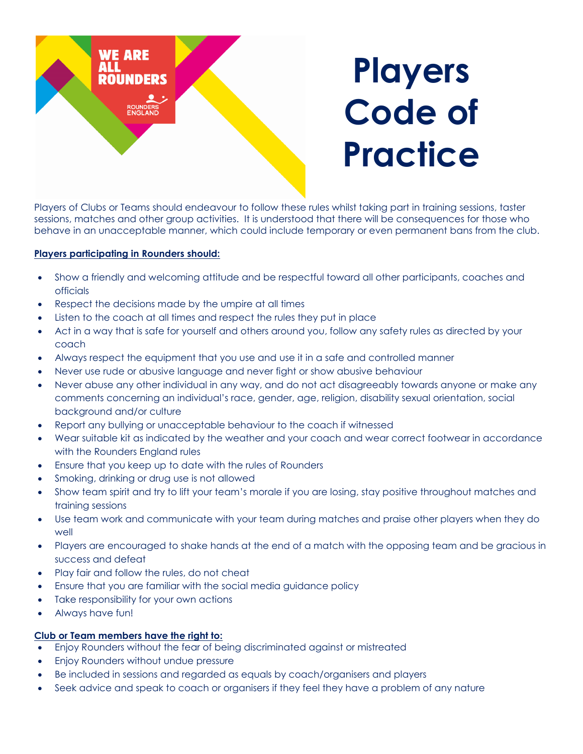

Players of Clubs or Teams should endeavour to follow these rules whilst taking part in training sessions, taster sessions, matches and other group activities. It is understood that there will be consequences for those who behave in an unacceptable manner, which could include temporary or even permanent bans from the club.

## **Players participating in Rounders should:**

- Show a friendly and welcoming attitude and be respectful toward all other participants, coaches and officials
- Respect the decisions made by the umpire at all times
- Listen to the coach at all times and respect the rules they put in place
- Act in a way that is safe for yourself and others around you, follow any safety rules as directed by your coach
- Always respect the equipment that you use and use it in a safe and controlled manner
- Never use rude or abusive language and never fight or show abusive behaviour
- Never abuse any other individual in any way, and do not act disagreeably towards anyone or make any comments concerning an individual's race, gender, age, religion, disability sexual orientation, social background and/or culture
- Report any bullying or unacceptable behaviour to the coach if witnessed
- Wear suitable kit as indicated by the weather and your coach and wear correct footwear in accordance with the Rounders England rules
- Ensure that you keep up to date with the rules of Rounders
- Smoking, drinking or drug use is not allowed
- Show team spirit and try to lift your team's morale if you are losing, stay positive throughout matches and training sessions
- Use team work and communicate with your team during matches and praise other players when they do well
- Players are encouraged to shake hands at the end of a match with the opposing team and be gracious in success and defeat
- Play fair and follow the rules, do not cheat
- Ensure that you are familiar with the social media guidance policy
- Take responsibility for your own actions
- Always have fun!

## **Club or Team members have the right to:**

- Enjoy Rounders without the fear of being discriminated against or mistreated
- Enjoy Rounders without undue pressure
- Be included in sessions and regarded as equals by coach/organisers and players
- Seek advice and speak to coach or organisers if they feel they have a problem of any nature